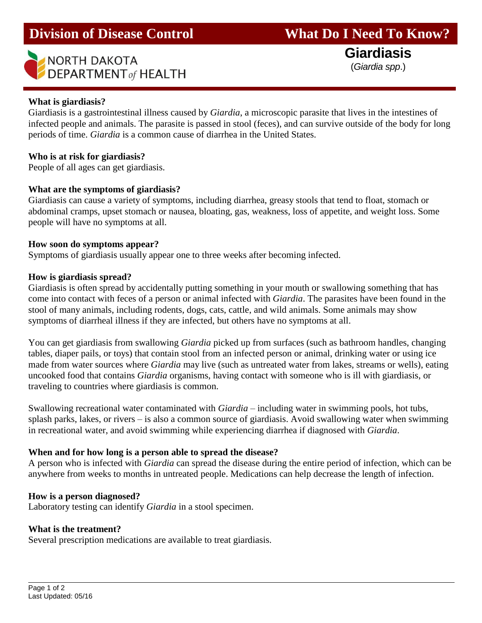# NORTH DAKOTA<br>DEPARTMENT of HEALTH (*Giardia spp.*)

# **What is giardiasis?**

l

Giardiasis is a gastrointestinal illness caused by *Giardia*, a microscopic parasite that lives in the intestines of infected people and animals. The parasite is passed in stool (feces), and can survive outside of the body for long periods of time. *Giardia* is a common cause of diarrhea in the United States.

# **Who is at risk for giardiasis?**

People of all ages can get giardiasis.

# **What are the symptoms of giardiasis?**

Giardiasis can cause a variety of symptoms, including diarrhea, greasy stools that tend to float, stomach or abdominal cramps, upset stomach or nausea, bloating, gas, weakness, loss of appetite, and weight loss. Some people will have no symptoms at all.

# **How soon do symptoms appear?**

Symptoms of giardiasis usually appear one to three weeks after becoming infected.

# **How is giardiasis spread?**

Giardiasis is often spread by accidentally putting something in your mouth or swallowing something that has come into contact with feces of a person or animal infected with *Giardia*. The parasites have been found in the stool of many animals, including rodents, dogs, cats, cattle, and wild animals. Some animals may show symptoms of diarrheal illness if they are infected, but others have no symptoms at all.

You can get giardiasis from swallowing *Giardia* picked up from surfaces (such as bathroom handles, changing tables, diaper pails, or toys) that contain stool from an infected person or animal, drinking water or using ice made from water sources where *Giardia* may live (such as untreated water from lakes, streams or wells), eating uncooked food that contains *Giardia* organisms, having contact with someone who is ill with giardiasis, or traveling to countries where giardiasis is common.

Swallowing recreational water contaminated with *Giardia* – including water in swimming pools, hot tubs, splash parks, lakes, or rivers – is also a common source of giardiasis. Avoid swallowing water when swimming in recreational water, and avoid swimming while experiencing diarrhea if diagnosed with *Giardia*.

#### **When and for how long is a person able to spread the disease?**

A person who is infected with *Giardia* can spread the disease during the entire period of infection, which can be anywhere from weeks to months in untreated people. Medications can help decrease the length of infection.

# **How is a person diagnosed?**

Laboratory testing can identify *Giardia* in a stool specimen.

# **What is the treatment?**

Several prescription medications are available to treat giardiasis.